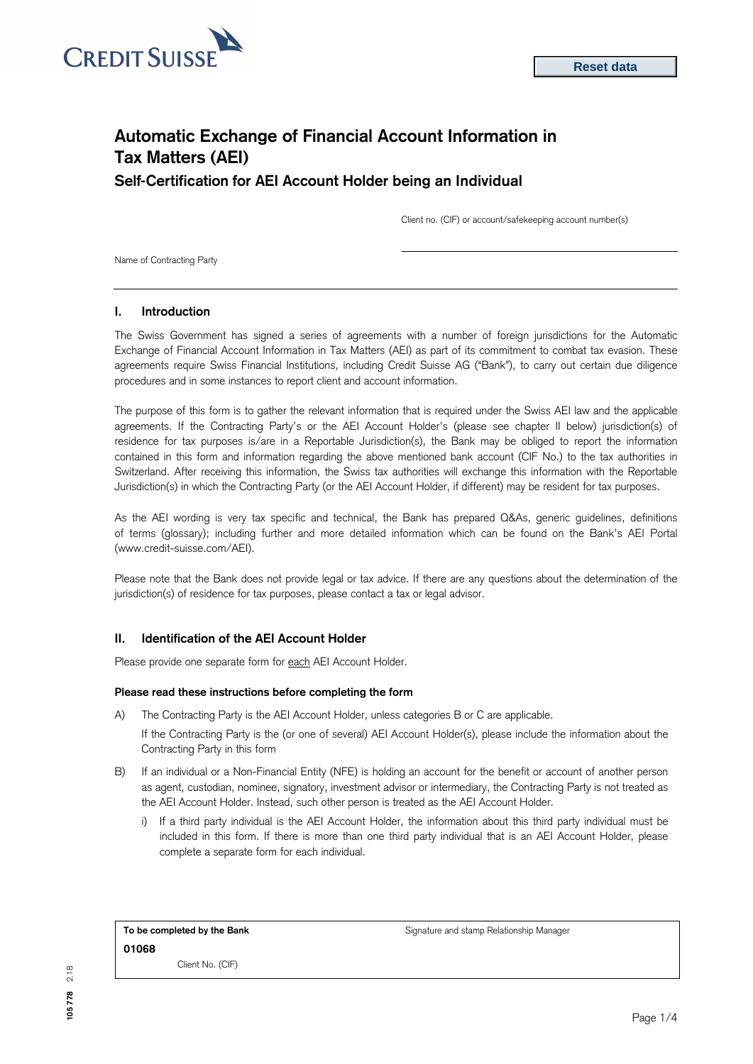

# **Automatic Exchange of Financial Account Information in Tax Matters (AEI) Self-Certification for AEI Account Holder being an Individual**

Client no. (CIF) or account/safekeeping account number(s)

Name of Contracting Party

# **I. Introduction**

The Swiss Government has signed a series of agreements with a number of foreign jurisdictions for the Automatic Exchange of Financial Account Information in Tax Matters (AEI) as part of its commitment to combat tax evasion. These agreements require Swiss Financial Institutions, including Credit Suisse AG ("Bank"), to carry out certain due diligence procedures and in some instances to report client and account information.

The purpose of this form is to gather the relevant information that is required under the Swiss AEI law and the applicable agreements. If the Contracting Party's or the AEI Account Holder's (please see chapter II below) jurisdiction(s) of residence for tax purposes is/are in a Reportable Jurisdiction(s), the Bank may be obliged to report the information contained in this form and information regarding the above mentioned bank account (CIF No.) to the tax authorities in Switzerland. After receiving this information, the Swiss tax authorities will exchange this information with the Reportable Jurisdiction(s) in which the Contracting Party (or the AEI Account Holder, if different) may be resident for tax purposes.

As the AEI wording is very tax specific and technical, the Bank has prepared Q&As, generic guidelines, definitions of terms (glossary); including further and more detailed information which can be found on the Bank's AEI Portal [\(www.credit-suisse.com/AEI\).](http://www.credit-suisse.com/AEI)

Please note that the Bank does not provide legal or tax advice. If there are any questions about the determination of the jurisdiction(s) of residence for tax purposes, please contact a tax or legal advisor.

# **II. Identification of the AEI Account Holder**

Please provide one separate form for each AEI Account Holder.

#### **Please read these instructions before completing the form**

A) The Contracting Party is the AEI Account Holder, unless categories B or C are applicable.

If the Contracting Party is the (or one of several) AEI Account Holder(s), please include the information about the Contracting Party in this form

- B) If an individual or a Non-Financial Entity (NFE) is holding an account for the benefit or account of another person as agent, custodian, nominee, signatory, investment advisor or intermediary, the Contracting Party is not treated as the AEI Account Holder. Instead, such other person is treated as the AEI Account Holder.
	- i) If a third party individual is the AEI Account Holder, the information about this third party individual must be included in this form. If there is more than one third party individual that is an AEI Account Holder, please complete a separate form for each individual.

| To be completed by the Bank |                  |  |  |  |
|-----------------------------|------------------|--|--|--|
| 01068                       |                  |  |  |  |
|                             | Client No. (CIF) |  |  |  |

**To be completed by the Bank** Signature and stamp Relationship Manager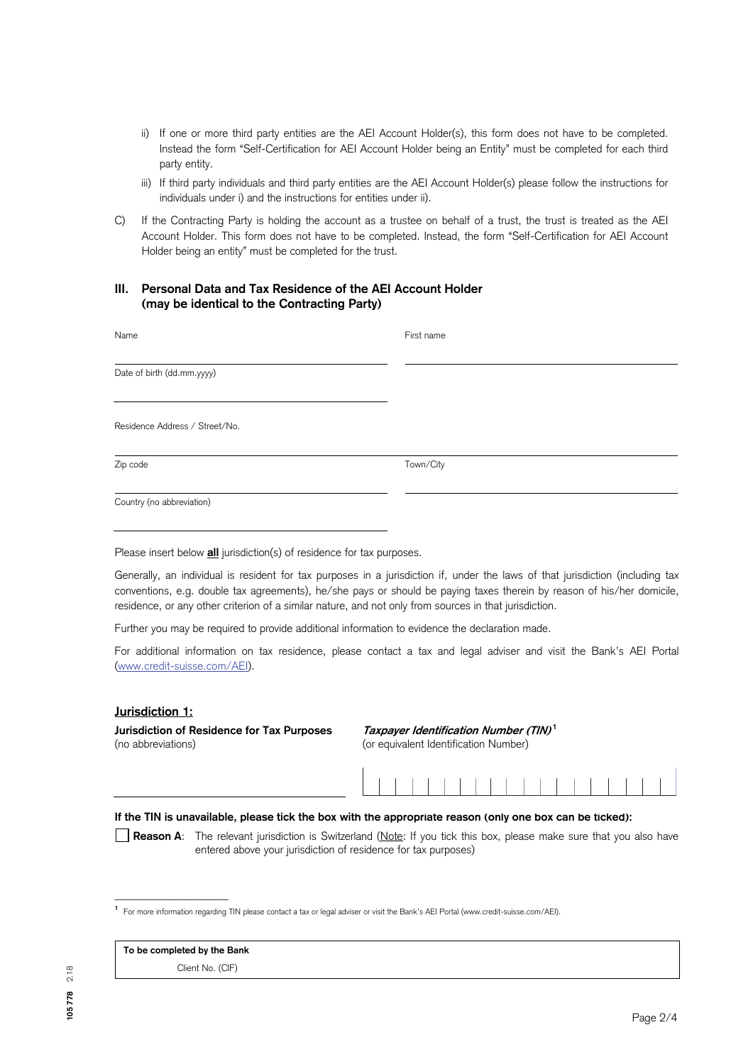- ii) If one or more third party entities are the AEI Account Holder(s), this form does not have to be completed. Instead the form "Self-Certification for AEI Account Holder being an Entity" must be completed for each third party entity.
- iii) If third party individuals and third party entities are the AEI Account Holder(s) please follow the instructions for individuals under i) and the instructions for entities under ii).
- C) If the Contracting Party is holding the account as a trustee on behalf of a trust, the trust is treated as the AEI Account Holder. This form does not have to be completed. Instead, the form "Self-Certification for AEI Account Holder being an entity" must be completed for the trust.

# **III. Personal Data and Tax Residence of the AEI Account Holder (may be identical to the Contracting Party)**

| Name                           | First name |
|--------------------------------|------------|
| Date of birth (dd.mm.yyyy)     |            |
| Residence Address / Street/No. |            |
| Zip code                       | Town/City  |
| Country (no abbreviation)      |            |

Please insert below **all** jurisdiction(s) of residence for tax purposes.

Generally, an individual is resident for tax purposes in a jurisdiction if, under the laws of that jurisdiction (including tax conventions, e.g. double tax agreements), he/she pays or should be paying taxes therein by reason of his/her domicile, residence, or any other criterion of a similar nature, and not only from sources in that jurisdiction.

Further you may be required to provide additional information to evidence the declaration made.

For additional information on tax residence, please contact a tax and legal adviser and visit the Bank's AEI Portal [\(www.credit-suisse.com/AEI\).](http://www.credit-suisse.com/AEI)

# **Jurisdiction 1:**

**Jurisdiction of Residence for Tax Purposes Taxpayer Identification Number (TIN)<sup>1</sup>** (no abbreviations) (or equivalent Identification Number)

#### **If the TIN is unavailable, please tick the box with the appropriate reason (only one box can be ticked):**

**Reason A**: The relevant jurisdiction is Switzerland (Note: If you tick this box, please make sure that you also have entered above your jurisdiction of residence for tax purposes)

|  |  | To be completed by the Bank |  |  |
|--|--|-----------------------------|--|--|
|--|--|-----------------------------|--|--|

\_\_\_\_\_\_\_\_\_\_\_\_\_\_\_\_\_\_\_\_

Client No. (CIF)

**<sup>1</sup>**For more information regarding TIN please contact a tax or legal adviser or visit the Bank's AEI Portal (www.credit-suisse.com/AEI).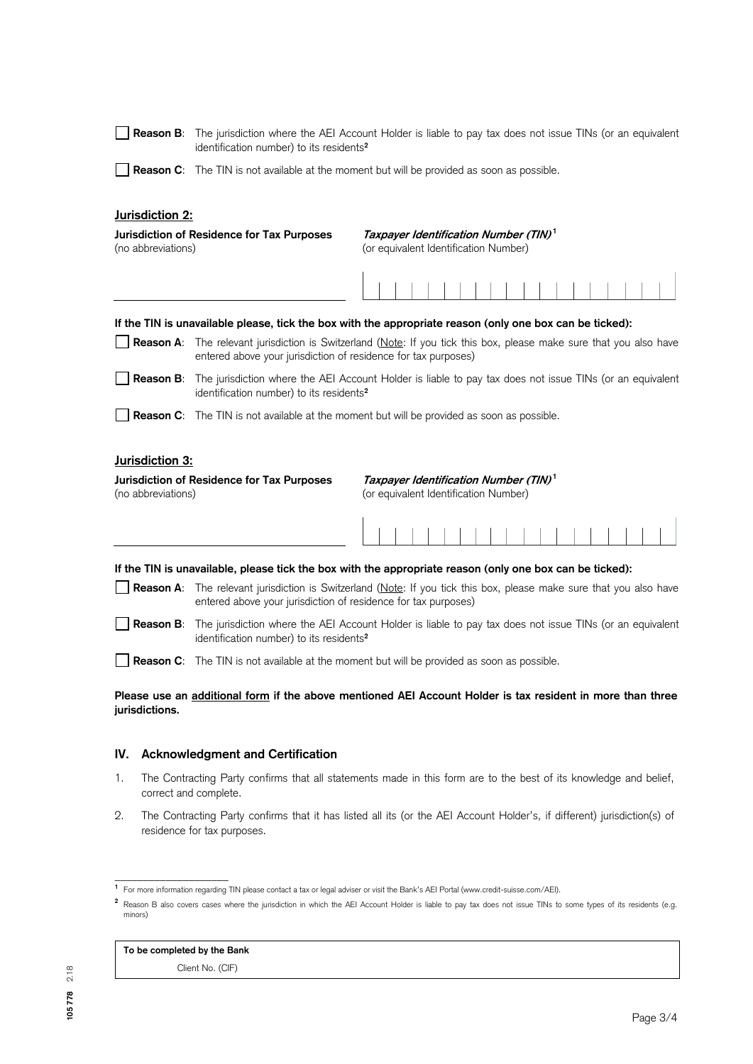|                                                                                                                                                                | Reason B: The jurisdiction where the AEI Account Holder is liable to pay tax does not issue TINs (or an equivalent<br>identification number) to its residents <sup>2</sup>            |                                                                                                            |  |
|----------------------------------------------------------------------------------------------------------------------------------------------------------------|---------------------------------------------------------------------------------------------------------------------------------------------------------------------------------------|------------------------------------------------------------------------------------------------------------|--|
|                                                                                                                                                                | <b>Reason C:</b> The TIN is not available at the moment but will be provided as soon as possible.                                                                                     |                                                                                                            |  |
| Jurisdiction 2:                                                                                                                                                |                                                                                                                                                                                       |                                                                                                            |  |
| (no abbreviations)                                                                                                                                             | Jurisdiction of Residence for Tax Purposes                                                                                                                                            | Taxpayer Identification Number (TIN) <sup>1</sup><br>(or equivalent Identification Number)                 |  |
|                                                                                                                                                                |                                                                                                                                                                                       |                                                                                                            |  |
|                                                                                                                                                                |                                                                                                                                                                                       | If the TIN is unavailable please, tick the box with the appropriate reason (only one box can be ticked):   |  |
|                                                                                                                                                                | Reason A: The relevant jurisdiction is Switzerland (Note: If you tick this box, please make sure that you also have<br>entered above your jurisdiction of residence for tax purposes) |                                                                                                            |  |
|                                                                                                                                                                | <b>Reason B:</b> The jurisdiction where the AEI Account Holder is liable to pay tax does not issue TINs (or an equivalent<br>identification number) to its residents <sup>2</sup>     |                                                                                                            |  |
|                                                                                                                                                                | <b>Reason C:</b> The TIN is not available at the moment but will be provided as soon as possible.                                                                                     |                                                                                                            |  |
| Jurisdiction 3:                                                                                                                                                |                                                                                                                                                                                       |                                                                                                            |  |
| Taxpayer Identification Number (TIN) <sup>1</sup><br>Jurisdiction of Residence for Tax Purposes<br>(no abbreviations)<br>(or equivalent Identification Number) |                                                                                                                                                                                       |                                                                                                            |  |
|                                                                                                                                                                |                                                                                                                                                                                       |                                                                                                            |  |
|                                                                                                                                                                |                                                                                                                                                                                       | If the TIN is unavailable, please tick the box with the appropriate reason (only one box can be ticked):   |  |
|                                                                                                                                                                | Reason A: The relevant jurisdiction is Switzerland (Note: If you tick this box, please make sure that you also have<br>entered above your jurisdiction of residence for tax purposes) |                                                                                                            |  |
| <b>Reason B:</b>                                                                                                                                               | The jurisdiction where the AEI Account Holder is liable to pay tax does not issue TINs (or an equivalent<br>identification number) to its residents <sup>2</sup>                      |                                                                                                            |  |
|                                                                                                                                                                | <b>Reason C:</b> The TIN is not available at the moment but will be provided as soon as possible.                                                                                     |                                                                                                            |  |
| jurisdictions.                                                                                                                                                 |                                                                                                                                                                                       | Please use an additional form if the above mentioned AEI Account Holder is tax resident in more than three |  |

# **IV. Acknowledgment and Certification**

- 1. The Contracting Party confirms that all statements made in this form are to the best of its knowledge and belief, correct and complete.
- 2. The Contracting Party confirms that it has listed all its (or the AEI Account Holder's, if different) jurisdiction(s) of residence for tax purposes.

# **To be completed by the Bank**

\_\_\_\_\_\_\_\_\_\_\_\_\_\_\_\_\_\_\_\_

Client No. (CIF)

**<sup>1</sup>**For more information regarding TIN please contact a tax or legal adviser or visit the Bank's AEI Portal (www.credit-suisse.com/AEI).

<sup>&</sup>lt;sup>2</sup> Reason B also covers cases where the jurisdiction in which the AEI Account Holder is liable to pay tax does not issue TINs to some types of its residents (e.g. minors)